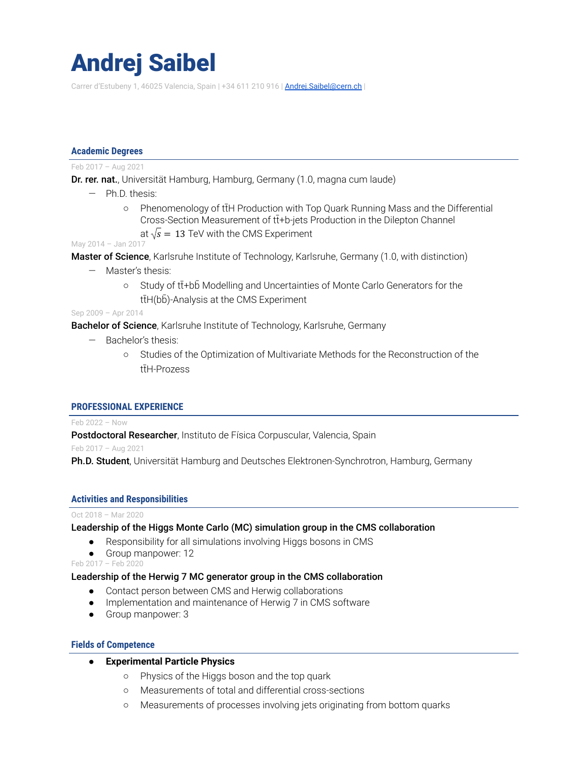# Andrej Saibel

Carrer d'Estubeny 1, 46025 Valencia, Spain | +34 611 210 916 | Andrej. Saibel@cern.ch |

#### **Academic Degrees**

#### Feb 2017 – Aug 2021

Dr. rer. nat., Universität Hamburg, Hamburg, Germany (1.0, magna cum laude)

- Ph.D. thesis:
	- Phenomenology of ttH Production with Top Quark Running Mass and the Differential Cross-Section Measurement of tt+b-jets Production in the Dilepton Channel
		- at  $\sqrt{s} = 13$  TeV with the CMS Experiment

May 2014 – Jan 2017

Master of Science, Karlsruhe Institute of Technology, Karlsruhe, Germany (1.0, with distinction)

- Master's thesis:
	- Study of tt+bb Modelling and Uncertainties of Monte Carlo Generators for the ttH(bb)-Analysis at the CMS Experiment

Sep 2009 – Apr 2014

**Bachelor of Science**, Karlsruhe Institute of Technology, Karlsruhe, Germany

- Bachelor's thesis:
	- Studies of the Optimization of Multivariate Methods for the Reconstruction of the ttH-Prozess

#### **PROFESSIONAL EXPERIENCE**

Feb 2022 – Now

Postdoctoral Researcher, Instituto de Física Corpuscular, Valencia, Spain

Feb 2017 – Aug 2021

Ph.D. Student, Universität Hamburg and Deutsches Elektronen-Synchrotron, Hamburg, Germany

#### **Activities and Responsibilities**

#### Oct 2018 – Mar 2020

#### Leadership of the Higgs Monte Carlo (MC) simulation group in the CMS collaboration

- Responsibility for all simulations involving Higgs bosons in CMS
- Group manpower: 12

Feb 2017 – Feb 2020

## Leadership of the Herwig 7 MC generator group in the CMS collaboration

- Contact person between CMS and Herwig collaborations
- Implementation and maintenance of Herwig 7 in CMS software
- Group manpower: 3

#### **Fields of Competence**

- **● Experimental Particle Physics**
	- Physics of the Higgs boson and the top quark
	- Measurements of total and differential cross-sections
	- Measurements of processes involving jets originating from bottom quarks